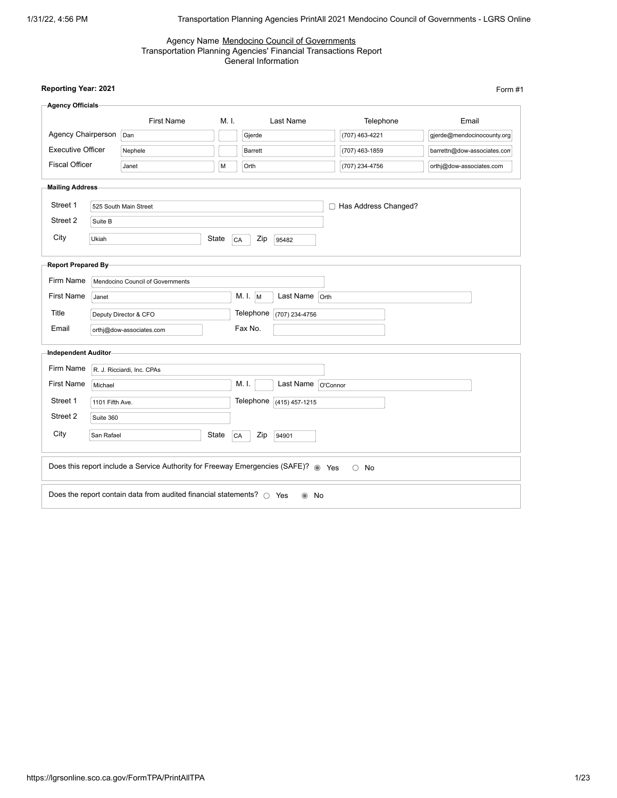#### Agency Name Mendocino Council of Governments Transportation Planning Agencies' Financial Transactions Report General Information

| <b>Agency Officials</b>  |                 |                                                                                    |       |           |                    |                        |                             |
|--------------------------|-----------------|------------------------------------------------------------------------------------|-------|-----------|--------------------|------------------------|-----------------------------|
|                          |                 | <b>First Name</b>                                                                  | M. I. |           | Last Name          | Telephone              | Email                       |
| Agency Chairperson       |                 | Dan                                                                                |       | Gjerde    |                    | (707) 463-4221         | gjerde@mendocinocounty.org  |
| <b>Executive Officer</b> |                 | Nephele                                                                            |       | Barrett   |                    | (707) 463-1859         | barrettn@dow-associates.com |
| <b>Fiscal Officer</b>    |                 | Janet                                                                              | M     | Orth      |                    | (707) 234-4756         | orthj@dow-associates.com    |
| <b>Mailing Address</b>   |                 |                                                                                    |       |           |                    |                        |                             |
| Street 1                 |                 | 525 South Main Street                                                              |       |           |                    | □ Has Address Changed? |                             |
| Street 2                 | Suite B         |                                                                                    |       |           |                    |                        |                             |
| City                     | Ukiah           |                                                                                    | State | Zip<br>CA | 95482              |                        |                             |
| Report Prepared By-      |                 |                                                                                    |       |           |                    |                        |                             |
| Firm Name                |                 | Mendocino Council of Governments                                                   |       |           |                    |                        |                             |
| <b>First Name</b>        | Janet           |                                                                                    |       | M. L M    | Last Name          | Orth                   |                             |
| Title                    |                 | Deputy Director & CFO                                                              |       | Telephone | (707) 234-4756     |                        |                             |
| Email                    |                 | orthj@dow-associates.com                                                           |       | Fax No.   |                    |                        |                             |
| Independent Auditor      |                 |                                                                                    |       |           |                    |                        |                             |
| Firm Name                |                 | R. J. Ricciardi, Inc. CPAs                                                         |       |           |                    |                        |                             |
| <b>First Name</b>        | Michael         |                                                                                    |       | M. I.     | Last Name O'Connor |                        |                             |
| Street 1                 | 1101 Fifth Ave. |                                                                                    |       | Telephone | $(415)$ 457-1215   |                        |                             |
| Street 2                 | Suite 360       |                                                                                    |       |           |                    |                        |                             |
| City                     | San Rafael      |                                                                                    | State | Zip<br>CA | 94901              |                        |                             |
|                          |                 |                                                                                    |       |           |                    |                        |                             |
|                          |                 | Does this report include a Service Authority for Freeway Emergencies (SAFE)? @ Yes |       |           |                    | $\circ$ No             |                             |
|                          |                 | Does the report contain data from audited financial statements? $\bigcirc$ Yes     |       |           | $\odot$ No         |                        |                             |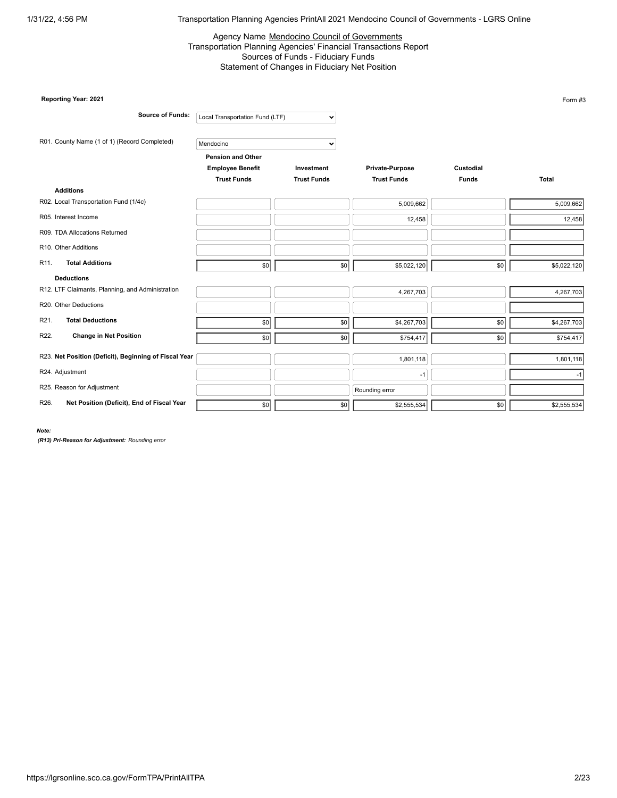#### Agency Name Mendocino Council of Governments Transportation Planning Agencies' Financial Transactions Report Sources of Funds - Fiduciary Funds Statement of Changes in Fiduciary Net Position

| Reporting Year: 2021                                  |                                 |                    |                    |                  | Form #3      |
|-------------------------------------------------------|---------------------------------|--------------------|--------------------|------------------|--------------|
| <b>Source of Funds:</b>                               | Local Transportation Fund (LTF) | $\check{~}$        |                    |                  |              |
| R01. County Name (1 of 1) (Record Completed)          | Mendocino                       | $\checkmark$       |                    |                  |              |
|                                                       | Pension and Other               |                    |                    |                  |              |
|                                                       | <b>Employee Benefit</b>         | Investment         | Private-Purpose    | Custodial        |              |
|                                                       | <b>Trust Funds</b>              | <b>Trust Funds</b> | <b>Trust Funds</b> | <b>Funds</b>     | <b>Total</b> |
| <b>Additions</b>                                      |                                 |                    |                    |                  |              |
| R02. Local Transportation Fund (1/4c)                 |                                 |                    | 5,009,662          |                  | 5,009,662    |
| R05. Interest Income                                  |                                 |                    | 12,458             |                  | 12,458       |
| R09. TDA Allocations Returned                         |                                 |                    |                    |                  |              |
| R10. Other Additions                                  |                                 |                    |                    |                  |              |
| <b>Total Additions</b><br>R <sub>11</sub> .           | \$0                             | \$0                | \$5,022,120        | \$0              | \$5,022,120  |
| <b>Deductions</b>                                     |                                 |                    |                    |                  |              |
| R12. LTF Claimants, Planning, and Administration      |                                 |                    | 4,267,703          |                  | 4,267,703    |
| R20. Other Deductions                                 |                                 |                    |                    |                  |              |
| <b>Total Deductions</b><br>R21.                       | \$0                             | \$0                | \$4,267,703        | \$0              | \$4,267,703  |
| R22.<br><b>Change in Net Position</b>                 | \$0                             | \$0                | \$754,417          | \$0              | \$754,417    |
| R23. Net Position (Deficit), Beginning of Fiscal Year |                                 |                    | 1,801,118          |                  | 1,801,118    |
| R24. Adjustment                                       |                                 |                    | $-1$               |                  | -1           |
| R25. Reason for Adjustment                            |                                 |                    | Rounding error     |                  |              |
| R26.<br>Net Position (Deficit), End of Fiscal Year    | \$0                             | \$0                | \$2,555,534        | $s$ <sub>0</sub> | \$2,555,534  |

*Note:*

*(R13) Pri-Reason for Adjustment: Rounding error*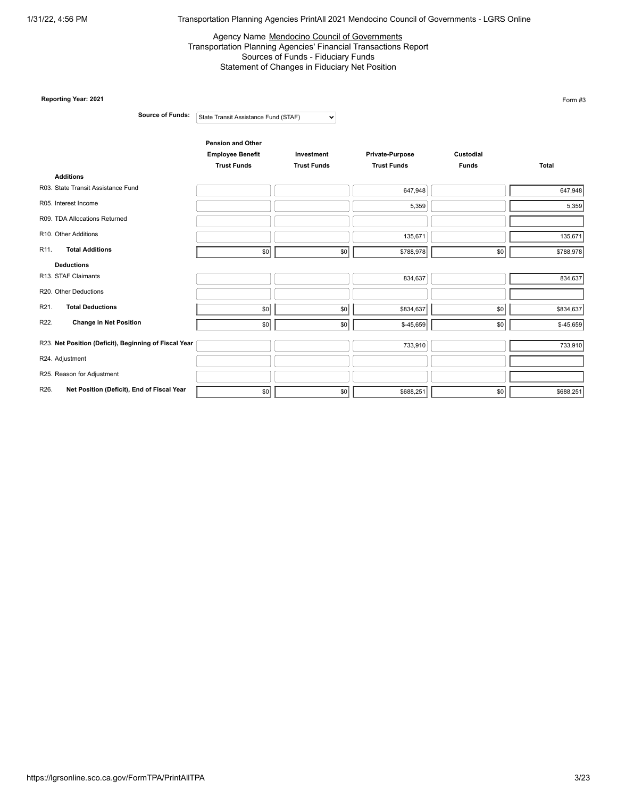## Agency Name Mendocino Council of Governments Transportation Planning Agencies' Financial Transactions Report Sources of Funds - Fiduciary Funds Statement of Changes in Fiduciary Net Position

| Reporting Year: 2021                                  |                                                                           |                                  |                                       |                           | Form #3      |
|-------------------------------------------------------|---------------------------------------------------------------------------|----------------------------------|---------------------------------------|---------------------------|--------------|
| <b>Source of Funds:</b>                               | State Transit Assistance Fund (STAF)                                      | $\checkmark$                     |                                       |                           |              |
|                                                       | <b>Pension and Other</b><br><b>Employee Benefit</b><br><b>Trust Funds</b> | Investment<br><b>Trust Funds</b> | Private-Purpose<br><b>Trust Funds</b> | Custodial<br><b>Funds</b> | <b>Total</b> |
| <b>Additions</b>                                      |                                                                           |                                  |                                       |                           |              |
| R03. State Transit Assistance Fund                    |                                                                           |                                  | 647,948                               |                           | 647,948      |
| R05. Interest Income                                  |                                                                           |                                  | 5,359                                 |                           | 5,359        |
| R09. TDA Allocations Returned                         |                                                                           |                                  |                                       |                           |              |
| R10. Other Additions                                  |                                                                           |                                  | 135,671                               |                           | 135,671      |
| <b>Total Additions</b><br>R <sub>11</sub> .           | \$0                                                                       | \$0                              | \$788,978                             | \$0                       | \$788,978    |
| <b>Deductions</b>                                     |                                                                           |                                  |                                       |                           |              |
| R13. STAF Claimants                                   |                                                                           |                                  | 834,637                               |                           | 834,637      |
| R20. Other Deductions                                 |                                                                           |                                  |                                       |                           |              |
| R21.<br><b>Total Deductions</b>                       | \$0                                                                       | \$0                              | \$834,637                             | \$0                       | \$834,637    |
| R22.<br><b>Change in Net Position</b>                 | \$0                                                                       | \$0                              | \$-45,659                             | \$0                       | $$-45,659$   |
| R23. Net Position (Deficit), Beginning of Fiscal Year |                                                                           |                                  | 733,910                               |                           | 733,910      |
| R24. Adjustment                                       |                                                                           |                                  |                                       |                           |              |
| R25. Reason for Adjustment                            |                                                                           |                                  |                                       |                           |              |
| R26.<br>Net Position (Deficit), End of Fiscal Year    | \$0                                                                       | $s$ <sub>0</sub>                 | \$688,251                             | \$0                       | \$688,251    |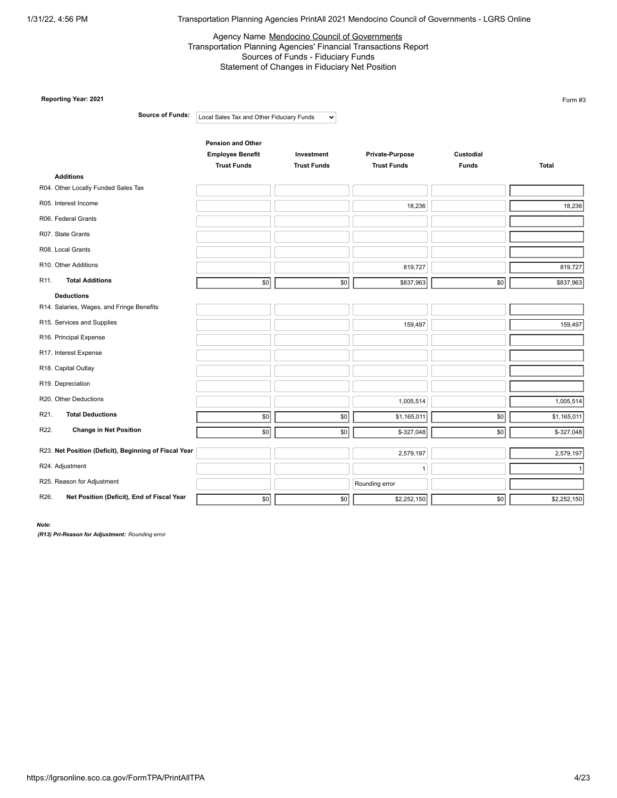## Agency Name Mendocino Council of Governments Transportation Planning Agencies' Financial Transactions Report Sources of Funds - Fiduciary Funds Statement of Changes in Fiduciary Net Position

| Reporting Year: 2021                                            |                                           |                    |                    |              | Form #3     |
|-----------------------------------------------------------------|-------------------------------------------|--------------------|--------------------|--------------|-------------|
| <b>Source of Funds:</b>                                         | Local Sales Tax and Other Fiduciary Funds | $\checkmark$       |                    |              |             |
|                                                                 | <b>Pension and Other</b>                  |                    |                    |              |             |
|                                                                 | <b>Employee Benefit</b>                   | Investment         | Private-Purpose    | Custodial    |             |
|                                                                 | <b>Trust Funds</b>                        | <b>Trust Funds</b> | <b>Trust Funds</b> | <b>Funds</b> | Total       |
| <b>Additions</b>                                                |                                           |                    |                    |              |             |
| R04. Other Locally Funded Sales Tax                             |                                           |                    |                    |              |             |
| R05. Interest Income                                            |                                           |                    | 18,236             |              | 18,236      |
| R06. Federal Grants                                             |                                           |                    |                    |              |             |
| R07. State Grants                                               |                                           |                    |                    |              |             |
| R08. Local Grants                                               |                                           |                    |                    |              |             |
| R10. Other Additions                                            |                                           |                    | 819,727            |              | 819,727     |
| <b>Total Additions</b><br>R <sub>11</sub> .                     | \$0                                       | \$0                | \$837,963          | \$0          | \$837,963   |
| <b>Deductions</b>                                               |                                           |                    |                    |              |             |
| R14. Salaries, Wages, and Fringe Benefits                       |                                           |                    |                    |              |             |
| R15. Services and Supplies                                      |                                           |                    | 159,497            |              | 159,497     |
| R16. Principal Expense                                          |                                           |                    |                    |              |             |
| R17. Interest Expense                                           |                                           |                    |                    |              |             |
| R18. Capital Outlay                                             |                                           |                    |                    |              |             |
| R19. Depreciation                                               |                                           |                    |                    |              |             |
| R20. Other Deductions                                           |                                           |                    | 1,005,514          |              | 1,005,514   |
| R <sub>21</sub> .<br><b>Total Deductions</b>                    | \$0                                       | \$0                | \$1,165,011        | \$0          | \$1,165,011 |
| <b>Change in Net Position</b><br>R22.                           | \$0                                       | \$0                | \$-327,048         | \$0          | $$-327,048$ |
| R23. Net Position (Deficit), Beginning of Fiscal Year           |                                           |                    | 2,579,197          |              | 2,579,197   |
| R24. Adjustment                                                 |                                           |                    | $\mathbf{1}$       |              |             |
| R25. Reason for Adjustment                                      |                                           |                    | Rounding error     |              |             |
| R <sub>26</sub> .<br>Net Position (Deficit), End of Fiscal Year | 30                                        | \$0                | \$2,252,150        | \$0          | \$2,252,150 |

*Note:*

*(R13) Pri-Reason for Adjustment: Rounding error*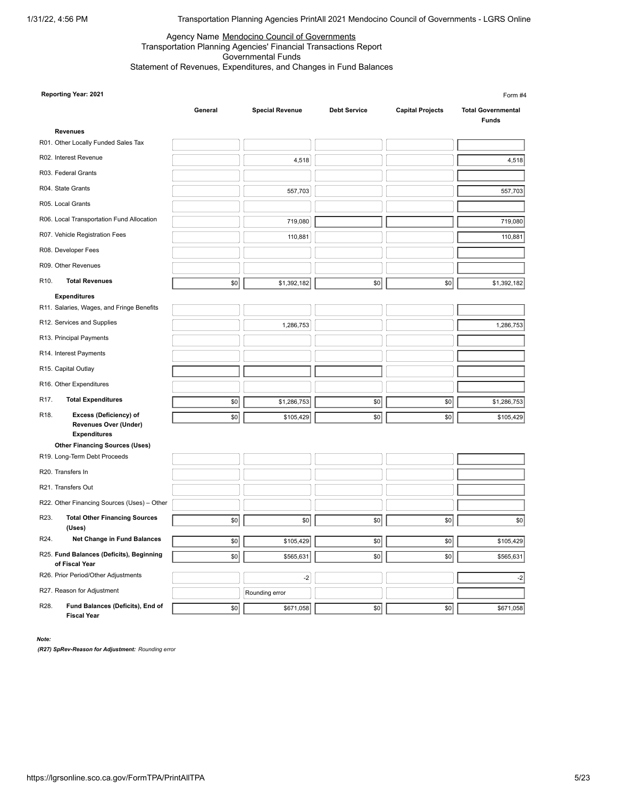**Reporting Year: 2021**

1/31/22, 4:56 PM Transportation Planning Agencies PrintAll 2021 Mendocino Council of Governments - LGRS Online

\$0|| \$671,058|| \$0|| \$0|| \$0|| \$671,058|

Form #4

#### Agency Name Mendocino Council of Governments Transportation Planning Agencies' Financial Transactions Report Governmental Funds Statement of Revenues, Expenditures, and Changes in Fund Balances

**General Special Revenue Debt Service Capital Projects Total Governmental Funds Revenues** R01. Other Locally Funded Sales Tax R02. Interest Revenue and the set of the set of the set of the set of the set of the set of the set of the set of the set of the set of the set of the set of the set of the set of the set of the set of the set of the set o R03. Federal Grants R04. State Grants 557,703 **Example 3 and State Grants** 557,703 **CONTEX 557,703** R05. Local Grants R06. Local Transportation Fund Allocation **Contract Contract Contract Contract Contract Contract Contract Contract Contract Contract Contract Contract Contract Contract Contract Contract Contract Contract Contract Contract** R07. Vehicle Registration Fees 110,881 and 110,881 and 110,881 and 110,881 and 110,881 and 110,881 and 110,881 R08. Developer Fees R09. Other Revenues R10. **Total Revenues by the set of the set of the state of the state of the state of the state of the state of the state of the state of the state of the state of the state of the state of the state of the state of the s Expenditures** R11. Salaries, Wages, and Fringe Benefits R12. Services and Supplies 1,286,753 1,286,753 R13. Principal Payments R14. Interest Payments R15. Capital Outlay R16. Other Expenditures R17. **Total Expenditures by the set of the state of the state of solutions of the state of solutions and solutions of the state state of states. The state of states and state of the state of states and state of states an** R18. **Excess (Deficiency) of Revenues Over (Under) Expenditures** \$0 | \$105,429 | \$0 | \$0 | \$0 | \$105,429 | **Other Financing Sources (Uses)** R19. Long-Term Debt Proceeds R20. Transfers In R21. Transfers Out R22. Other Financing Sources (Uses) – Other R23. **Total Other Financing Sources (Uses)** \$0 **\$0 \$0 \$0 \$0 \$0 \$0 \$0 \$0 \$0 \$0** \$0 \$0 \$0 \$0 \$ **R24.** Net Change in Fund Balances **by the state of the state of the state of the state of the state of state of state of state of state of state of state of state of state of state of state of state of state of state of s** R25. **Fund Balances (Deficits), Beginning of Fiscal Year** \$0|| \$565,631|| \$0|| \$0|| \$0|| \$565,631| R26. Prior Period/Other Adjustments 4.2 (2008) 2.2 (2009) 2.2 (2009) 2.2 (2009) 2.2 (2009) 2.2 (2009) 2.2 (2009) 2.2 (2009) 2.2 (2009) 2.2 (2009) 2.2 (2009) 2.2 (2009) 2.2 (2009) 2.2 (2009) 2.2 (2009) 2.2 (2009) 2.2 (2009) R27. Reason for Adjustment Research Rounding error R28. **Fund Balances (Deficits), End of** 4,518 557,703 719,080 110,881 1,286,753  $-2$ 

**Fiscal Year**

*Note:*

*(R27) SpRev-Reason for Adjustment: Rounding error*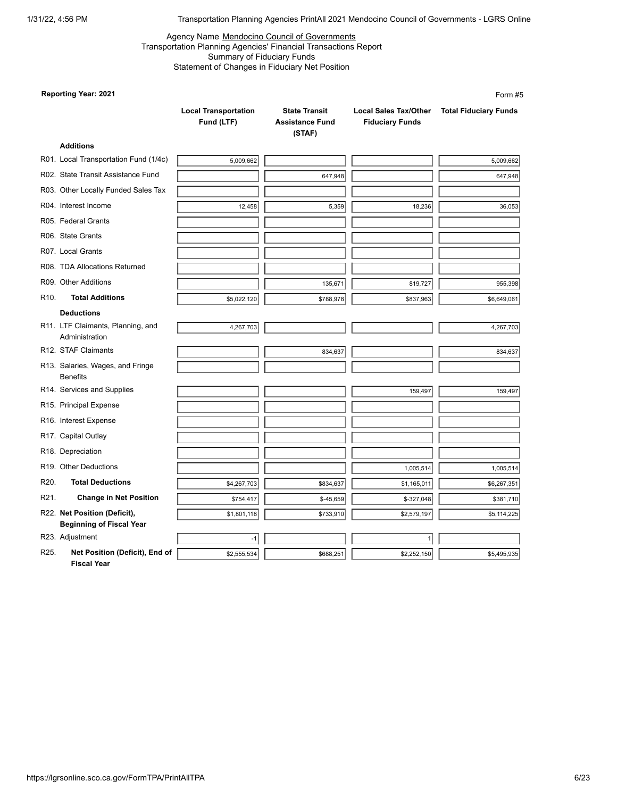## Agency Name Mendocino Council of Governments Transportation Planning Agencies' Financial Transactions Report Summary of Fiduciary Funds Statement of Changes in Fiduciary Net Position

## **Reporting Year: 2021**

|      | <b>Reporting Year: 2021</b>                                     |                                           |                                                          |                                                        | Form #5                      |
|------|-----------------------------------------------------------------|-------------------------------------------|----------------------------------------------------------|--------------------------------------------------------|------------------------------|
|      |                                                                 | <b>Local Transportation</b><br>Fund (LTF) | <b>State Transit</b><br><b>Assistance Fund</b><br>(STAF) | <b>Local Sales Tax/Other</b><br><b>Fiduciary Funds</b> | <b>Total Fiduciary Funds</b> |
|      | <b>Additions</b>                                                |                                           |                                                          |                                                        |                              |
|      | R01. Local Transportation Fund (1/4c)                           | 5,009,662                                 |                                                          |                                                        | 5,009,662                    |
|      | R02. State Transit Assistance Fund                              |                                           | 647,948                                                  |                                                        | 647,948                      |
|      | R03. Other Locally Funded Sales Tax                             |                                           |                                                          |                                                        |                              |
|      | R04. Interest Income                                            | 12,458                                    | 5,359                                                    | 18,236                                                 | 36,053                       |
|      | R05. Federal Grants                                             |                                           |                                                          |                                                        |                              |
|      | R06. State Grants                                               |                                           |                                                          |                                                        |                              |
|      | R07. Local Grants                                               |                                           |                                                          |                                                        |                              |
|      | R08. TDA Allocations Returned                                   |                                           |                                                          |                                                        |                              |
|      | R09. Other Additions                                            |                                           | 135,671                                                  | 819,727                                                | 955,398                      |
| R10. | <b>Total Additions</b>                                          | \$5,022,120                               | \$788,978                                                | \$837,963                                              | \$6,649,061                  |
|      | <b>Deductions</b>                                               |                                           |                                                          |                                                        |                              |
|      | R11. LTF Claimants, Planning, and<br>Administration             | 4,267,703                                 |                                                          |                                                        | 4,267,703                    |
|      | R12. STAF Claimants                                             |                                           | 834,637                                                  |                                                        | 834,637                      |
|      | R13. Salaries, Wages, and Fringe<br><b>Benefits</b>             |                                           |                                                          |                                                        |                              |
|      | R14. Services and Supplies                                      |                                           |                                                          | 159,497                                                | 159,497                      |
|      | R15. Principal Expense                                          |                                           |                                                          |                                                        |                              |
|      | R16. Interest Expense                                           |                                           |                                                          |                                                        |                              |
|      | R17. Capital Outlay                                             |                                           |                                                          |                                                        |                              |
|      | R18. Depreciation                                               |                                           |                                                          |                                                        |                              |
|      | R19. Other Deductions                                           |                                           |                                                          | 1,005,514                                              | 1,005,514                    |
| R20. | <b>Total Deductions</b>                                         | \$4,267,703                               | \$834,637                                                | \$1,165,011                                            | \$6,267,351                  |
| R21. | <b>Change in Net Position</b>                                   | \$754,417                                 | \$-45,659                                                | \$-327,048                                             | \$381,710                    |
|      | R22. Net Position (Deficit),<br><b>Beginning of Fiscal Year</b> | \$1,801,118                               | \$733,910                                                | \$2,579,197                                            | \$5,114,225                  |
|      | R23. Adjustment                                                 | $-1$                                      |                                                          | 1                                                      |                              |
| R25. | Net Position (Deficit), End of<br><b>Fiscal Year</b>            | \$2,555,534                               | \$688,251                                                | \$2,252,150                                            | \$5,495,935                  |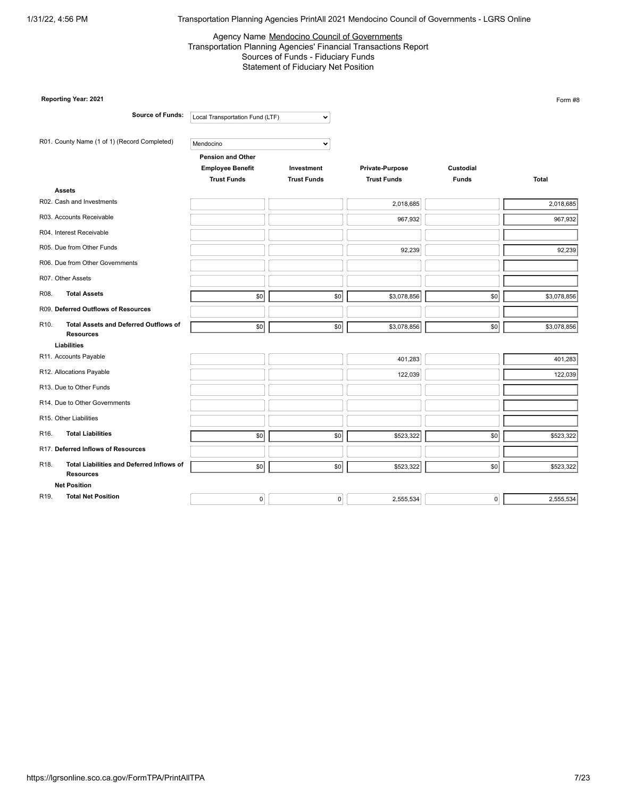#### Agency Name Mendocino Council of Governments Transportation Planning Agencies' Financial Transactions Report Sources of Funds - Fiduciary Funds Statement of Fiduciary Net Position

|                   | Reporting Year: 2021                                             |                                                     |                    |                    |              | Form #8     |
|-------------------|------------------------------------------------------------------|-----------------------------------------------------|--------------------|--------------------|--------------|-------------|
|                   | <b>Source of Funds:</b>                                          | Local Transportation Fund (LTF)                     | $\checkmark$       |                    |              |             |
|                   | R01. County Name (1 of 1) (Record Completed)                     | Mendocino                                           | $\checkmark$       |                    |              |             |
|                   |                                                                  | <b>Pension and Other</b><br><b>Employee Benefit</b> | Investment         | Private-Purpose    | Custodial    |             |
|                   | <b>Assets</b>                                                    | <b>Trust Funds</b>                                  | <b>Trust Funds</b> | <b>Trust Funds</b> | <b>Funds</b> | Total       |
|                   | R02. Cash and Investments                                        |                                                     |                    | 2,018,685          |              | 2,018,685   |
|                   | R03. Accounts Receivable                                         |                                                     |                    |                    |              |             |
|                   |                                                                  |                                                     |                    | 967,932            |              | 967,932     |
|                   | R04. Interest Receivable                                         |                                                     |                    |                    |              |             |
|                   | R05. Due from Other Funds                                        |                                                     |                    | 92,239             |              | 92,239      |
|                   | R06. Due from Other Governments                                  |                                                     |                    |                    |              |             |
|                   | R07. Other Assets                                                |                                                     |                    |                    |              |             |
| R08.              | <b>Total Assets</b>                                              | \$0                                                 | \$0                | \$3,078,856        | \$0          | \$3,078,856 |
|                   | R09. Deferred Outflows of Resources                              |                                                     |                    |                    |              |             |
| R <sub>10</sub> . | <b>Total Assets and Deferred Outflows of</b><br><b>Resources</b> | \$0                                                 | \$0                | \$3,078,856        | \$0          | \$3,078,856 |
|                   | Liabilities                                                      |                                                     |                    |                    |              |             |
|                   | R11. Accounts Payable                                            |                                                     |                    | 401,283            |              | 401,283     |
|                   | R12. Allocations Payable                                         |                                                     |                    | 122,039            |              | 122,039     |
|                   | R13. Due to Other Funds                                          |                                                     |                    |                    |              |             |
|                   | R14. Due to Other Governments                                    |                                                     |                    |                    |              |             |
|                   | R15. Other Liabilities                                           |                                                     |                    |                    |              |             |
| R <sub>16</sub> . | <b>Total Liabilities</b>                                         | \$0                                                 | \$0                | \$523,322          | \$0          | \$523,322   |
|                   | R17. Deferred Inflows of Resources                               |                                                     |                    |                    |              |             |
| R <sub>18</sub> . | Total Liabilities and Deferred Inflows of<br><b>Resources</b>    | \$0                                                 | \$0                | \$523,322          | \$0          | \$523,322   |
|                   | <b>Net Position</b>                                              |                                                     |                    |                    |              |             |
| R <sub>19</sub> . | <b>Total Net Position</b>                                        | $\pmb{0}$                                           | $\mathbf 0$        | 2,555,534          | $\mathbf 0$  | 2,555,534   |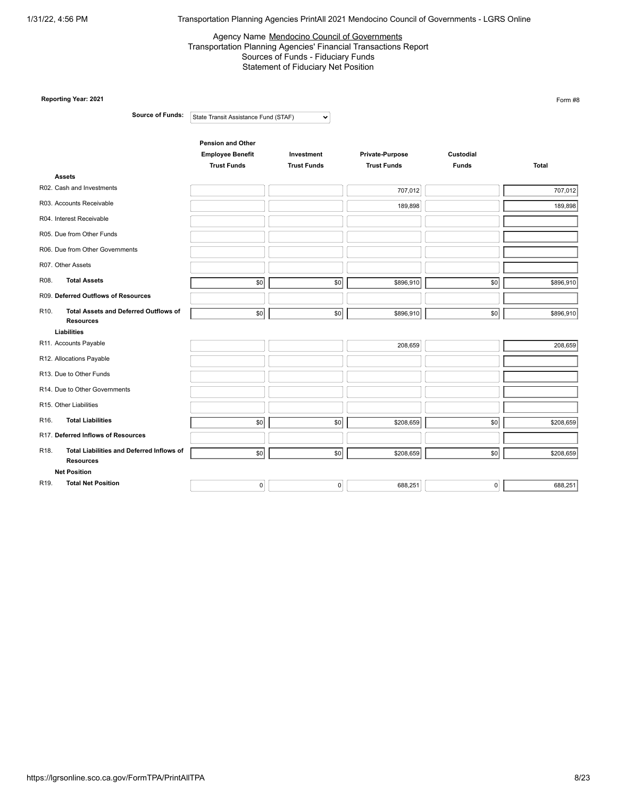#### Agency Name Mendocino Council of Governments Transportation Planning Agencies' Financial Transactions Report Sources of Funds - Fiduciary Funds Statement of Fiduciary Net Position

|                   | Reporting Year: 2021                                             |                                      |                    |                    |              | Form #8   |
|-------------------|------------------------------------------------------------------|--------------------------------------|--------------------|--------------------|--------------|-----------|
|                   | <b>Source of Funds:</b>                                          | State Transit Assistance Fund (STAF) | $\checkmark$       |                    |              |           |
|                   |                                                                  | <b>Pension and Other</b>             |                    |                    |              |           |
|                   |                                                                  | <b>Employee Benefit</b>              | Investment         | Private-Purpose    | Custodial    |           |
|                   |                                                                  | <b>Trust Funds</b>                   | <b>Trust Funds</b> | <b>Trust Funds</b> | <b>Funds</b> | Total     |
|                   | <b>Assets</b>                                                    |                                      |                    |                    |              |           |
|                   | R02. Cash and Investments                                        |                                      |                    | 707,012            |              | 707,012   |
|                   | R03. Accounts Receivable                                         |                                      |                    | 189,898            |              | 189,898   |
|                   | R04. Interest Receivable                                         |                                      |                    |                    |              |           |
|                   | R05. Due from Other Funds                                        |                                      |                    |                    |              |           |
|                   | R06. Due from Other Governments                                  |                                      |                    |                    |              |           |
|                   | R07. Other Assets                                                |                                      |                    |                    |              |           |
| R08.              | <b>Total Assets</b>                                              | \$0                                  | \$0                | \$896,910          | \$0          | \$896,910 |
|                   | R09. Deferred Outflows of Resources                              |                                      |                    |                    |              |           |
| R <sub>10</sub> . | <b>Total Assets and Deferred Outflows of</b><br><b>Resources</b> | \$0                                  | \$0                | \$896,910          | \$0          | \$896,910 |
|                   | Liabilities                                                      |                                      |                    |                    |              |           |
|                   | R11. Accounts Payable                                            |                                      |                    | 208,659            |              | 208,659   |
|                   | R12. Allocations Payable                                         |                                      |                    |                    |              |           |
|                   | R13. Due to Other Funds                                          |                                      |                    |                    |              |           |
|                   | R14. Due to Other Governments                                    |                                      |                    |                    |              |           |
|                   | R15. Other Liabilities                                           |                                      |                    |                    |              |           |
| R <sub>16</sub> . | <b>Total Liabilities</b>                                         | \$0                                  | \$0                | \$208,659          | \$0          | \$208,659 |
|                   | R17. Deferred Inflows of Resources                               |                                      |                    |                    |              |           |
| R <sub>18</sub> . | Total Liabilities and Deferred Inflows of<br><b>Resources</b>    | \$0                                  | \$0                | \$208,659          | \$0          | \$208,659 |
|                   | <b>Net Position</b>                                              |                                      |                    |                    |              |           |
| R19.              | <b>Total Net Position</b>                                        | $\mathbf 0$                          | 0                  | 688,251            | 0            | 688,251   |
|                   |                                                                  |                                      |                    |                    |              |           |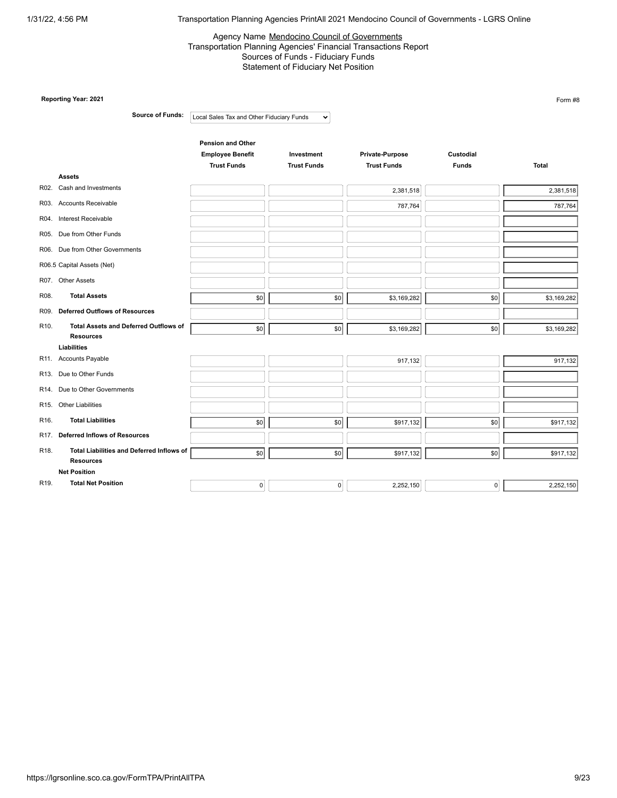#### Agency Name Mendocino Council of Governments Transportation Planning Agencies' Financial Transactions Report Sources of Funds - Fiduciary Funds Statement of Fiduciary Net Position

|                   | Reporting Year: 2021                                             |                                               |                                  |                                       |                           | Form #8      |
|-------------------|------------------------------------------------------------------|-----------------------------------------------|----------------------------------|---------------------------------------|---------------------------|--------------|
|                   | <b>Source of Funds:</b>                                          | Local Sales Tax and Other Fiduciary Funds     | $\checkmark$                     |                                       |                           |              |
|                   |                                                                  | <b>Pension and Other</b>                      |                                  |                                       |                           |              |
|                   |                                                                  | <b>Employee Benefit</b><br><b>Trust Funds</b> | Investment<br><b>Trust Funds</b> | Private-Purpose<br><b>Trust Funds</b> | Custodial<br><b>Funds</b> | <b>Total</b> |
|                   | <b>Assets</b>                                                    |                                               |                                  |                                       |                           |              |
|                   | R02. Cash and Investments                                        |                                               |                                  | 2,381,518                             |                           | 2,381,518    |
|                   | R03. Accounts Receivable                                         |                                               |                                  | 787,764                               |                           | 787,764      |
|                   | R04. Interest Receivable                                         |                                               |                                  |                                       |                           |              |
|                   | R05. Due from Other Funds                                        |                                               |                                  |                                       |                           |              |
|                   | R06. Due from Other Governments                                  |                                               |                                  |                                       |                           |              |
|                   | R06.5 Capital Assets (Net)                                       |                                               |                                  |                                       |                           |              |
|                   | R07. Other Assets                                                |                                               |                                  |                                       |                           |              |
| R08.              | <b>Total Assets</b>                                              | \$0                                           | \$0                              | \$3,169,282                           | \$0                       | \$3,169,282  |
| R09.              | <b>Deferred Outflows of Resources</b>                            |                                               |                                  |                                       |                           |              |
| R <sub>10</sub> . | <b>Total Assets and Deferred Outflows of</b><br><b>Resources</b> | \$0                                           | \$0                              | \$3,169,282                           | \$0                       | \$3,169,282  |
|                   | Liabilities                                                      |                                               |                                  |                                       |                           |              |
|                   | R11. Accounts Payable                                            |                                               |                                  | 917,132                               |                           | 917,132      |
|                   | R13. Due to Other Funds                                          |                                               |                                  |                                       |                           |              |
|                   | R14. Due to Other Governments                                    |                                               |                                  |                                       |                           |              |
|                   | R15. Other Liabilities                                           |                                               |                                  |                                       |                           |              |
| R16.              | <b>Total Liabilities</b>                                         | \$0                                           | \$0                              | \$917,132                             | \$0                       | \$917,132    |
|                   | R17. Deferred Inflows of Resources                               |                                               |                                  |                                       |                           |              |
| R <sub>18</sub> . | Total Liabilities and Deferred Inflows of<br><b>Resources</b>    | \$0                                           | \$0                              | \$917,132                             | \$0                       | \$917,132    |
|                   | <b>Net Position</b>                                              |                                               |                                  |                                       |                           |              |
| R19.              | <b>Total Net Position</b>                                        | $\mathbf 0$                                   | 0                                | 2,252,150                             | 0                         | 2,252,150    |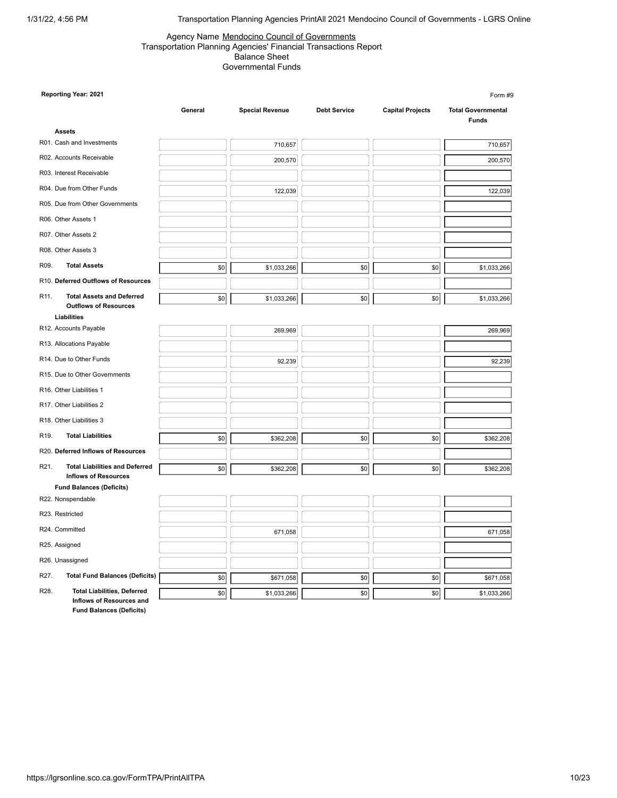#### Agency Name Mendocino Council of Governments Transportation Planning Agencies' Financial Transactions Report Balance Sheet Governmental Funds

|                   | Reporting Year: 2021                                           |         |                        |                     |                         | Form #9                                   |
|-------------------|----------------------------------------------------------------|---------|------------------------|---------------------|-------------------------|-------------------------------------------|
|                   |                                                                | General | <b>Special Revenue</b> | <b>Debt Service</b> | <b>Capital Projects</b> | <b>Total Governmental</b><br><b>Funds</b> |
|                   | <b>Assets</b>                                                  |         |                        |                     |                         |                                           |
|                   | R01. Cash and Investments                                      |         | 710,657                |                     |                         | 710,657                                   |
|                   | R02. Accounts Receivable                                       |         | 200,570                |                     |                         | 200,570                                   |
|                   | R03. Interest Receivable                                       |         |                        |                     |                         |                                           |
|                   | R04. Due from Other Funds                                      |         | 122,039                |                     |                         | 122,039                                   |
|                   | R05. Due from Other Governments                                |         |                        |                     |                         |                                           |
|                   | R06. Other Assets 1                                            |         |                        |                     |                         |                                           |
|                   | R07. Other Assets 2                                            |         |                        |                     |                         |                                           |
|                   | R08. Other Assets 3                                            |         |                        |                     |                         |                                           |
| R09.              | <b>Total Assets</b>                                            | \$0     | \$1,033,266            | \$0                 | \$0                     | \$1,033,266                               |
|                   | R10. Deferred Outflows of Resources                            |         |                        |                     |                         |                                           |
| R11.              | <b>Total Assets and Deferred</b>                               | \$0     | \$1,033,266            | \$0                 | \$0                     | \$1,033,266                               |
|                   | <b>Outflows of Resources</b><br>Liabilities                    |         |                        |                     |                         |                                           |
|                   | R12. Accounts Payable                                          |         | 269,969                |                     |                         | 269,969                                   |
|                   | R13. Allocations Payable                                       |         |                        |                     |                         |                                           |
|                   |                                                                |         |                        |                     |                         |                                           |
|                   | R14. Due to Other Funds                                        |         | 92,239                 |                     |                         | 92,239                                    |
|                   | R15. Due to Other Governments                                  |         |                        |                     |                         |                                           |
|                   | R16. Other Liabilities 1                                       |         |                        |                     |                         |                                           |
|                   | R17. Other Liabilities 2                                       |         |                        |                     |                         |                                           |
|                   | R18. Other Liabilities 3                                       |         |                        |                     |                         |                                           |
| R <sub>19</sub> . | <b>Total Liabilities</b>                                       | \$0     | \$362,208              | \$0                 | \$0                     | \$362,208                                 |
|                   | R20. Deferred Inflows of Resources                             |         |                        |                     |                         |                                           |
| R <sub>21</sub> . | <b>Total Liabilities and Deferred</b>                          | \$0     | \$362,208              | \$0                 | \$0                     | \$362,208                                 |
|                   | <b>Inflows of Resources</b><br><b>Fund Balances (Deficits)</b> |         |                        |                     |                         |                                           |
|                   | R22. Nonspendable                                              |         |                        |                     |                         |                                           |
|                   | R23. Restricted                                                |         |                        |                     |                         |                                           |
|                   | R24. Committed                                                 |         | 671,058                |                     |                         | 671,058                                   |
|                   | R25. Assigned                                                  |         |                        |                     |                         |                                           |
|                   | R26. Unassigned                                                |         |                        |                     |                         |                                           |
| R27.              | <b>Total Fund Balances (Deficits)</b>                          | \$0     | \$671,058              | \$0                 | \$0                     | \$671,058                                 |
| R28.              | <b>Total Liabilities, Deferred</b><br>Inflows of Resources and | \$0     | \$1,033,266            | \$0                 | \$0                     | \$1,033,266                               |

**Fund Balances (Deficits)**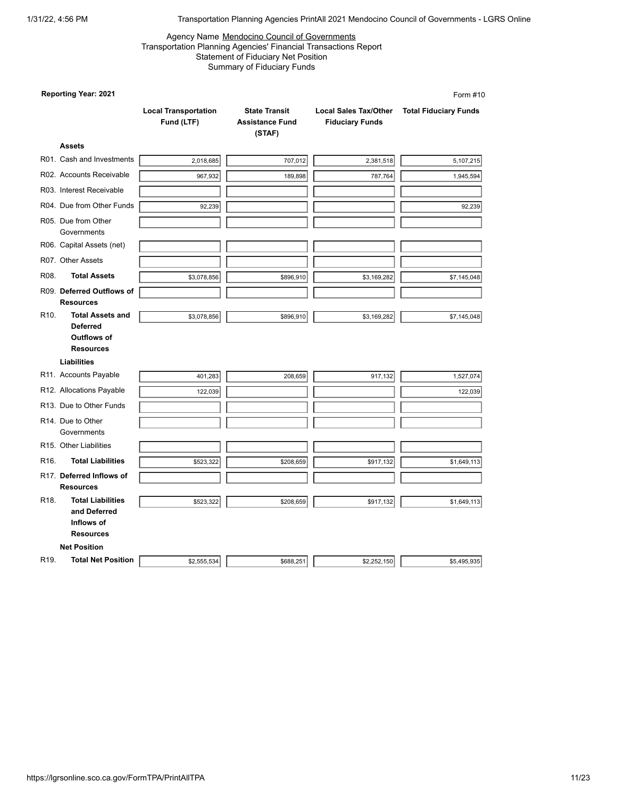#### Agency Name Mendocino Council of Governments Transportation Planning Agencies' Financial Transactions Report Statement of Fiduciary Net Position Summary of Fiduciary Funds

|                   | <b>Reporting Year: 2021</b>                                                                                           |                                           |                                                          |                                                        | Form #10                     |
|-------------------|-----------------------------------------------------------------------------------------------------------------------|-------------------------------------------|----------------------------------------------------------|--------------------------------------------------------|------------------------------|
|                   |                                                                                                                       | <b>Local Transportation</b><br>Fund (LTF) | <b>State Transit</b><br><b>Assistance Fund</b><br>(STAF) | <b>Local Sales Tax/Other</b><br><b>Fiduciary Funds</b> | <b>Total Fiduciary Funds</b> |
|                   | <b>Assets</b>                                                                                                         |                                           |                                                          |                                                        |                              |
|                   | R01. Cash and Investments                                                                                             | 2,018,685                                 | 707,012                                                  | 2,381,518                                              | 5,107,215                    |
|                   | R02. Accounts Receivable                                                                                              | 967,932                                   | 189,898                                                  | 787,764                                                | 1,945,594                    |
|                   | R03. Interest Receivable                                                                                              |                                           |                                                          |                                                        |                              |
|                   | R04. Due from Other Funds                                                                                             | 92,239                                    |                                                          |                                                        | 92,239                       |
|                   | R05. Due from Other<br>Governments                                                                                    |                                           |                                                          |                                                        |                              |
|                   | R06. Capital Assets (net)                                                                                             |                                           |                                                          |                                                        |                              |
|                   | R07. Other Assets                                                                                                     |                                           |                                                          |                                                        |                              |
| R08.              | <b>Total Assets</b>                                                                                                   | \$3,078,856                               | \$896,910                                                | \$3,169,282                                            | \$7,145,048                  |
|                   | R09. Deferred Outflows of<br><b>Resources</b>                                                                         |                                           |                                                          |                                                        |                              |
| R <sub>10</sub> . | <b>Total Assets and</b><br><b>Deferred</b><br><b>Outflows of</b><br><b>Resources</b><br><b>Liabilities</b>            | \$3,078,856                               | \$896,910                                                | \$3,169,282                                            | \$7,145,048                  |
|                   | R11. Accounts Payable                                                                                                 | 401,283                                   | 208,659                                                  | 917,132                                                | 1,527,074                    |
|                   | R12. Allocations Payable                                                                                              | 122,039                                   |                                                          |                                                        | 122,039                      |
|                   | R13. Due to Other Funds                                                                                               |                                           |                                                          |                                                        |                              |
|                   | R <sub>14</sub> . Due to Other<br>Governments                                                                         |                                           |                                                          |                                                        |                              |
|                   | R <sub>15</sub> . Other Liabilities                                                                                   |                                           |                                                          |                                                        |                              |
| R <sub>16</sub> . | <b>Total Liabilities</b>                                                                                              | \$523,322                                 | \$208,659                                                | \$917,132                                              | \$1,649,113                  |
|                   | R17. Deferred Inflows of                                                                                              |                                           |                                                          |                                                        |                              |
| R <sub>18</sub> . | <b>Resources</b><br><b>Total Liabilities</b><br>and Deferred<br>Inflows of<br><b>Resources</b><br><b>Net Position</b> | \$523,322                                 | \$208,659                                                | \$917,132                                              | \$1,649,113                  |
| R <sub>19</sub> . | <b>Total Net Position</b>                                                                                             | \$2,555,534                               | \$688,251                                                | \$2,252,150                                            | \$5,495,935                  |
|                   |                                                                                                                       |                                           |                                                          |                                                        |                              |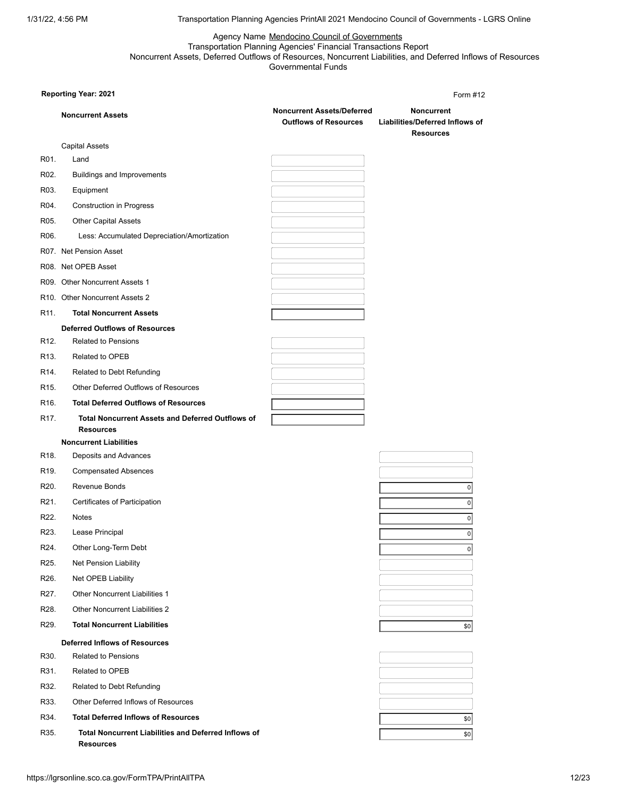Agency Name Mendocino Council of Governments Transportation Planning Agencies' Financial Transactions Report Noncurrent Assets, Deferred Outflows of Resources, Noncurrent Liabilities, and Deferred Inflows of Resources Governmental Funds

|                   | <b>Reporting Year: 2021</b>                                                 |                                                                   | Form #12                                                                 |
|-------------------|-----------------------------------------------------------------------------|-------------------------------------------------------------------|--------------------------------------------------------------------------|
|                   | <b>Noncurrent Assets</b>                                                    | <b>Noncurrent Assets/Deferred</b><br><b>Outflows of Resources</b> | <b>Noncurrent</b><br>Liabilities/Deferred Inflows of<br><b>Resources</b> |
|                   | <b>Capital Assets</b>                                                       |                                                                   |                                                                          |
| R01.              | Land                                                                        |                                                                   |                                                                          |
| R <sub>02</sub> . | Buildings and Improvements                                                  |                                                                   |                                                                          |
| R03.              | Equipment                                                                   |                                                                   |                                                                          |
| R04.              | <b>Construction in Progress</b>                                             |                                                                   |                                                                          |
| R05.              | <b>Other Capital Assets</b>                                                 |                                                                   |                                                                          |
| R06.              | Less: Accumulated Depreciation/Amortization                                 |                                                                   |                                                                          |
|                   | R07. Net Pension Asset                                                      |                                                                   |                                                                          |
|                   | R08. Net OPEB Asset                                                         |                                                                   |                                                                          |
|                   | R09. Other Noncurrent Assets 1                                              |                                                                   |                                                                          |
|                   | R10. Other Noncurrent Assets 2                                              |                                                                   |                                                                          |
| R <sub>11</sub> . | <b>Total Noncurrent Assets</b>                                              |                                                                   |                                                                          |
|                   | <b>Deferred Outflows of Resources</b>                                       |                                                                   |                                                                          |
| R <sub>12</sub> . | <b>Related to Pensions</b>                                                  |                                                                   |                                                                          |
| R <sub>13</sub> . | Related to OPEB                                                             |                                                                   |                                                                          |
| R <sub>14</sub>   | Related to Debt Refunding                                                   |                                                                   |                                                                          |
| R <sub>15</sub> . | <b>Other Deferred Outflows of Resources</b>                                 |                                                                   |                                                                          |
| R <sub>16</sub> . | <b>Total Deferred Outflows of Resources</b>                                 |                                                                   |                                                                          |
| R <sub>17</sub> . | <b>Total Noncurrent Assets and Deferred Outflows of</b><br><b>Resources</b> |                                                                   |                                                                          |
|                   | <b>Noncurrent Liabilities</b>                                               |                                                                   |                                                                          |
| R <sub>18</sub> . | Deposits and Advances                                                       |                                                                   |                                                                          |
| R <sub>19</sub> . | <b>Compensated Absences</b>                                                 |                                                                   |                                                                          |
| R <sub>20</sub> . | Revenue Bonds                                                               |                                                                   | 0                                                                        |
| R <sub>21</sub> . | Certificates of Participation                                               |                                                                   | 0                                                                        |
| R22.              | <b>Notes</b>                                                                |                                                                   | 0                                                                        |
| R <sub>23</sub> . | Lease Principal                                                             |                                                                   | $\overline{0}$                                                           |
| R24.              | Other Long-Term Debt                                                        |                                                                   | $\mathbf 0$                                                              |
| R <sub>25</sub> . | Net Pension Liability                                                       |                                                                   |                                                                          |
| R <sub>26</sub> . | Net OPEB Liability                                                          |                                                                   |                                                                          |
| R27.              | <b>Other Noncurrent Liabilities 1</b>                                       |                                                                   |                                                                          |
| R <sub>28</sub> . | <b>Other Noncurrent Liabilities 2</b>                                       |                                                                   |                                                                          |
| R <sub>29</sub> . | <b>Total Noncurrent Liabilities</b>                                         |                                                                   | \$0                                                                      |
|                   | <b>Deferred Inflows of Resources</b>                                        |                                                                   |                                                                          |
| R30.              | <b>Related to Pensions</b>                                                  |                                                                   |                                                                          |
| R31.              | Related to OPEB                                                             |                                                                   |                                                                          |
| R32.              | Related to Debt Refunding                                                   |                                                                   |                                                                          |
| R33.              | Other Deferred Inflows of Resources                                         |                                                                   |                                                                          |
| R34.              | <b>Total Deferred Inflows of Resources</b>                                  |                                                                   | \$0                                                                      |
| R35.              | Total Noncurrent Liabilities and Deferred Inflows of<br>Resources           |                                                                   | \$0                                                                      |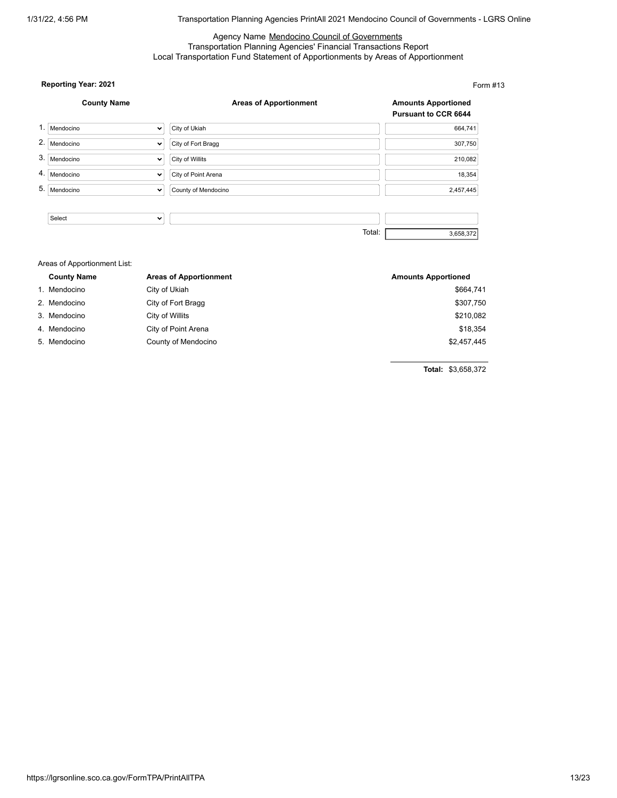## Agency Name Mendocino Council of Governments Transportation Planning Agencies' Financial Transactions Report Local Transportation Fund Statement of Apportionments by Areas of Apportionment

## **Reporting Year: 2021**

**County Name Areas of Apportionment Amounts Apportioned Pursuant to CCR 6644** 1. Mendocino v City of Ukiah 664,741 2. Mendocino  $\overline{\smile}$  City of Fort Bragg 307,750 3. Mendocino  $\overline{\phantom{a}}$  City of Willits 210,082 4. Mendocino  $\vert \cdot \vert$  City of Point Arena 18,354 5. Mendocino  $\vee$  County of Mendocino 2,457,445Select  $\overline{\mathbf{v}}$ Total: 3,658,372

| Areas of Apportionment List: |                               |                            |  |  |  |  |
|------------------------------|-------------------------------|----------------------------|--|--|--|--|
| <b>County Name</b>           | <b>Areas of Apportionment</b> | <b>Amounts Apportioned</b> |  |  |  |  |
| 1. Mendocino                 | City of Ukiah                 | \$664,741                  |  |  |  |  |
| 2. Mendocino                 | City of Fort Bragg            | \$307,750                  |  |  |  |  |
| 3. Mendocino                 | City of Willits               | \$210,082                  |  |  |  |  |
| 4. Mendocino                 | City of Point Arena           | \$18,354                   |  |  |  |  |
| 5. Mendocino                 | County of Mendocino           | \$2,457,445                |  |  |  |  |

**Total:** \$3,658,372

Form #13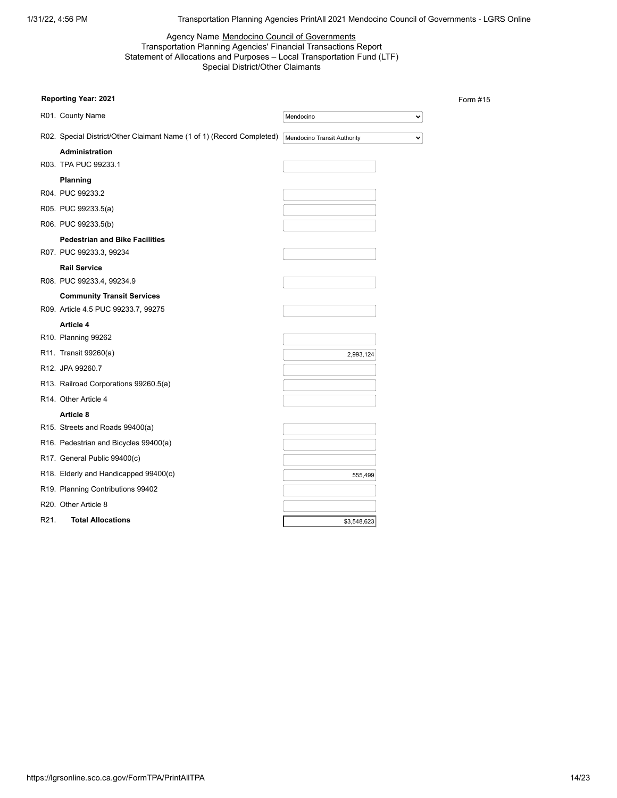Form #15

## Agency Name Mendocino Council of Governments Transportation Planning Agencies' Financial Transactions Report Statement of Allocations and Purposes – Local Transportation Fund (LTF) Special District/Other Claimants

| Reporting Year: 2021                                                     |                             |              |
|--------------------------------------------------------------------------|-----------------------------|--------------|
| R01. County Name                                                         | Mendocino                   | v            |
| R02. Special District/Other Claimant Name (1 of 1) (Record Completed)    | Mendocino Transit Authority | $\checkmark$ |
| <b>Administration</b><br>R03. TPA PUC 99233.1                            |                             |              |
| Planning<br>R04. PUC 99233.2                                             |                             |              |
| R05. PUC 99233.5(a)                                                      |                             |              |
| R06. PUC 99233.5(b)                                                      |                             |              |
| <b>Pedestrian and Bike Facilities</b><br>R07. PUC 99233.3, 99234         |                             |              |
| <b>Rail Service</b><br>R08. PUC 99233.4, 99234.9                         |                             |              |
| <b>Community Transit Services</b><br>R09. Article 4.5 PUC 99233.7, 99275 |                             |              |
| Article 4                                                                |                             |              |
| R10. Planning 99262                                                      |                             |              |
| R11. Transit 99260(a)                                                    | 2,993,124                   |              |
| R12. JPA 99260.7                                                         |                             |              |
| R13. Railroad Corporations 99260.5(a)                                    |                             |              |
| R <sub>14</sub> . Other Article 4                                        |                             |              |
| Article 8                                                                |                             |              |
| R15. Streets and Roads 99400(a)                                          |                             |              |
| R16. Pedestrian and Bicycles 99400(a)                                    |                             |              |
| R17. General Public 99400(c)                                             |                             |              |
| R18. Elderly and Handicapped 99400(c)                                    | 555,499                     |              |
| R19. Planning Contributions 99402                                        |                             |              |
| R20. Other Article 8                                                     |                             |              |
| <b>Total Allocations</b><br>R21.                                         | \$3,548,623                 |              |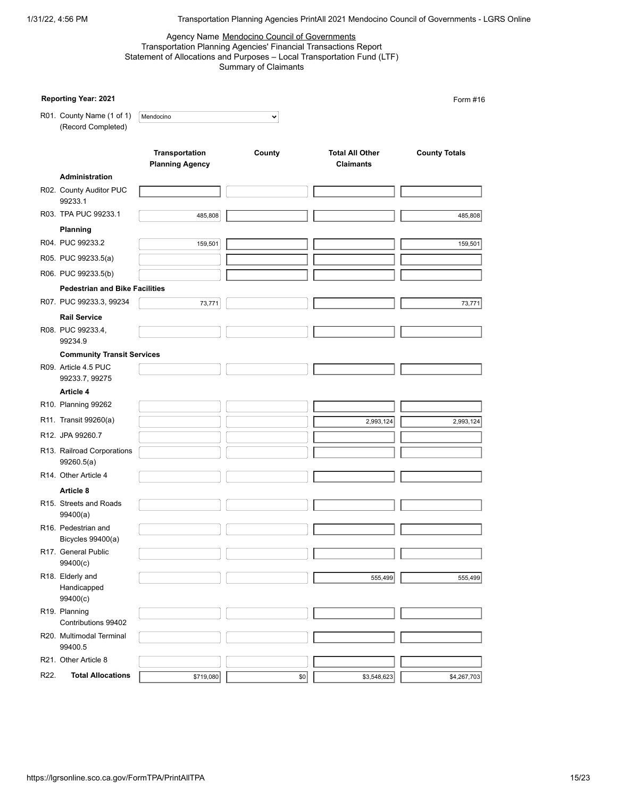## Agency Name Mendocino Council of Governments Transportation Planning Agencies' Financial Transactions Report Statement of Allocations and Purposes – Local Transportation Fund (LTF) Summary of Claimants

|      | Reporting Year: 2021                            |                                          |              |                                            | Form #16             |
|------|-------------------------------------------------|------------------------------------------|--------------|--------------------------------------------|----------------------|
|      | R01. County Name (1 of 1)<br>(Record Completed) | Mendocino                                | $\checkmark$ |                                            |                      |
|      |                                                 | Transportation<br><b>Planning Agency</b> | County       | <b>Total All Other</b><br><b>Claimants</b> | <b>County Totals</b> |
|      | Administration                                  |                                          |              |                                            |                      |
|      | R02. County Auditor PUC<br>99233.1              |                                          |              |                                            |                      |
|      | R03. TPA PUC 99233.1                            | 485,808                                  |              |                                            | 485,808              |
|      | Planning                                        |                                          |              |                                            |                      |
|      | R04. PUC 99233.2                                | 159,501                                  |              |                                            | 159,501              |
|      | R05. PUC 99233.5(a)                             |                                          |              |                                            |                      |
|      | R06. PUC 99233.5(b)                             |                                          |              |                                            |                      |
|      | <b>Pedestrian and Bike Facilities</b>           |                                          |              |                                            |                      |
|      | R07. PUC 99233.3, 99234                         | 73,771                                   |              |                                            | 73,771               |
|      | <b>Rail Service</b>                             |                                          |              |                                            |                      |
|      | R08. PUC 99233.4,<br>99234.9                    |                                          |              |                                            |                      |
|      | <b>Community Transit Services</b>               |                                          |              |                                            |                      |
|      | R09. Article 4.5 PUC<br>99233.7, 99275          |                                          |              |                                            |                      |
|      | Article 4                                       |                                          |              |                                            |                      |
|      | R10. Planning 99262                             |                                          |              |                                            |                      |
|      | R11. Transit 99260(a)                           |                                          |              | 2,993,124                                  | 2,993,124            |
|      | R12. JPA 99260.7                                |                                          |              |                                            |                      |
|      | R13. Railroad Corporations<br>99260.5(a)        |                                          |              |                                            |                      |
|      | R14. Other Article 4                            |                                          |              |                                            |                      |
|      | Article 8                                       |                                          |              |                                            |                      |
|      | R15. Streets and Roads<br>99400(a)              |                                          |              |                                            |                      |
|      | R16. Pedestrian and<br>Bicycles 99400(a)        |                                          |              |                                            |                      |
|      | R17. General Public<br>99400(c)                 |                                          |              |                                            |                      |
|      | R18. Elderly and<br>Handicapped                 |                                          |              | 555,499                                    | 555,499              |
|      | 99400(c)                                        |                                          |              |                                            |                      |
|      | R19. Planning<br>Contributions 99402            |                                          |              |                                            |                      |
|      | R20. Multimodal Terminal<br>99400.5             |                                          |              |                                            |                      |
|      | R21. Other Article 8                            |                                          |              |                                            |                      |
| R22. | <b>Total Allocations</b>                        | \$719,080                                | \$0          | \$3,548,623                                | \$4,267,703          |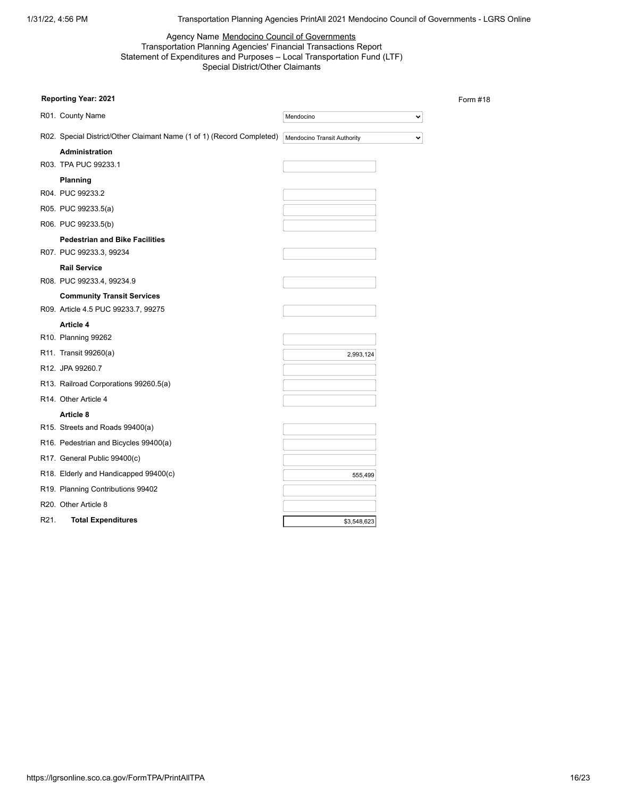Form #18

## Agency Name Mendocino Council of Governments Transportation Planning Agencies' Financial Transactions Report Statement of Expenditures and Purposes – Local Transportation Fund (LTF) Special District/Other Claimants

| <b>Reporting Year: 2021</b>                                           |                             |              |
|-----------------------------------------------------------------------|-----------------------------|--------------|
| R01. County Name                                                      | Mendocino                   | v            |
| R02. Special District/Other Claimant Name (1 of 1) (Record Completed) | Mendocino Transit Authority | $\checkmark$ |
| <b>Administration</b>                                                 |                             |              |
| R03. TPA PUC 99233.1                                                  |                             |              |
| Planning                                                              |                             |              |
| R04. PUC 99233.2                                                      |                             |              |
| R05. PUC 99233.5(a)                                                   |                             |              |
| R06. PUC 99233.5(b)                                                   |                             |              |
| <b>Pedestrian and Bike Facilities</b>                                 |                             |              |
| R07. PUC 99233.3, 99234                                               |                             |              |
| <b>Rail Service</b>                                                   |                             |              |
| R08. PUC 99233.4, 99234.9                                             |                             |              |
| <b>Community Transit Services</b>                                     |                             |              |
| R09. Article 4.5 PUC 99233.7, 99275                                   |                             |              |
| Article 4                                                             |                             |              |
| R10. Planning 99262                                                   |                             |              |
| R11. Transit 99260(a)                                                 | 2,993,124                   |              |
| R12. JPA 99260.7                                                      |                             |              |
| R13. Railroad Corporations 99260.5(a)                                 |                             |              |
| R14. Other Article 4                                                  |                             |              |
| Article 8                                                             |                             |              |
| R15. Streets and Roads 99400(a)                                       |                             |              |
| R16. Pedestrian and Bicycles 99400(a)                                 |                             |              |
| R17. General Public 99400(c)                                          |                             |              |
| R18. Elderly and Handicapped 99400(c)                                 | 555,499                     |              |
| R19. Planning Contributions 99402                                     |                             |              |
| R20. Other Article 8                                                  |                             |              |
| R21.<br><b>Total Expenditures</b>                                     | \$3,548,623                 |              |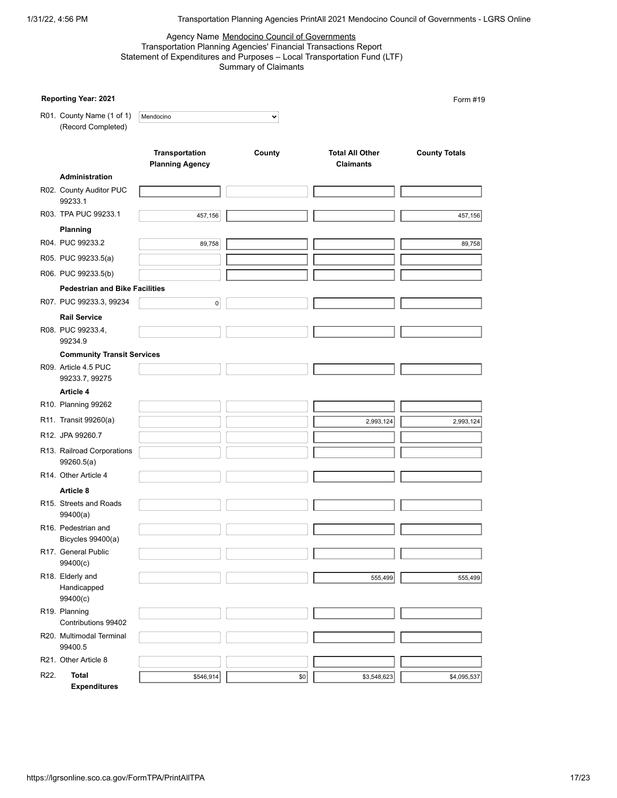#### Agency Name Mendocino Council of Governments Transportation Planning Agencies' Financial Transactions Report Statement of Expenditures and Purposes – Local Transportation Fund (LTF) Summary of Claimants

|      | Reporting Year: 2021                            |                                          |              |                                            | Form #19             |
|------|-------------------------------------------------|------------------------------------------|--------------|--------------------------------------------|----------------------|
|      | R01. County Name (1 of 1)<br>(Record Completed) | Mendocino                                | $\checkmark$ |                                            |                      |
|      |                                                 | Transportation<br><b>Planning Agency</b> | County       | <b>Total All Other</b><br><b>Claimants</b> | <b>County Totals</b> |
|      | Administration                                  |                                          |              |                                            |                      |
|      | R02. County Auditor PUC<br>99233.1              |                                          |              |                                            |                      |
|      | R03. TPA PUC 99233.1                            | 457,156                                  |              |                                            | 457,156              |
|      | Planning                                        |                                          |              |                                            |                      |
|      | R04. PUC 99233.2                                | 89,758                                   |              |                                            | 89,758               |
|      | R05. PUC 99233.5(a)                             |                                          |              |                                            |                      |
|      | R06. PUC 99233.5(b)                             |                                          |              |                                            |                      |
|      | <b>Pedestrian and Bike Facilities</b>           |                                          |              |                                            |                      |
|      | R07. PUC 99233.3, 99234                         | 0                                        |              |                                            |                      |
|      | <b>Rail Service</b>                             |                                          |              |                                            |                      |
|      | R08. PUC 99233.4,<br>99234.9                    |                                          |              |                                            |                      |
|      | <b>Community Transit Services</b>               |                                          |              |                                            |                      |
|      | R09. Article 4.5 PUC<br>99233.7, 99275          |                                          |              |                                            |                      |
|      | Article 4                                       |                                          |              |                                            |                      |
|      | R10. Planning 99262                             |                                          |              |                                            |                      |
|      | R11. Transit 99260(a)                           |                                          |              | 2,993,124                                  | 2,993,124            |
|      | R12. JPA 99260.7                                |                                          |              |                                            |                      |
|      | R13. Railroad Corporations<br>99260.5(a)        |                                          |              |                                            |                      |
|      | R14. Other Article 4                            |                                          |              |                                            |                      |
|      | Article 8                                       |                                          |              |                                            |                      |
|      | R15. Streets and Roads<br>99400(a)              |                                          |              |                                            |                      |
|      | R16. Pedestrian and<br>Bicycles 99400(a)        |                                          |              |                                            |                      |
|      | R17. General Public<br>99400(c)                 |                                          |              |                                            |                      |
|      | R18. Elderly and<br>Handicapped<br>99400(c)     |                                          |              | 555,499                                    | 555,499              |
|      | R19. Planning                                   |                                          |              |                                            |                      |
|      | Contributions 99402                             |                                          |              |                                            |                      |
|      | R20. Multimodal Terminal<br>99400.5             |                                          |              |                                            |                      |
|      | R21. Other Article 8                            |                                          |              |                                            |                      |
| R22. | Total<br><b>Expenditures</b>                    | \$546,914                                | \$0          | \$3,548,623                                | \$4,095,537          |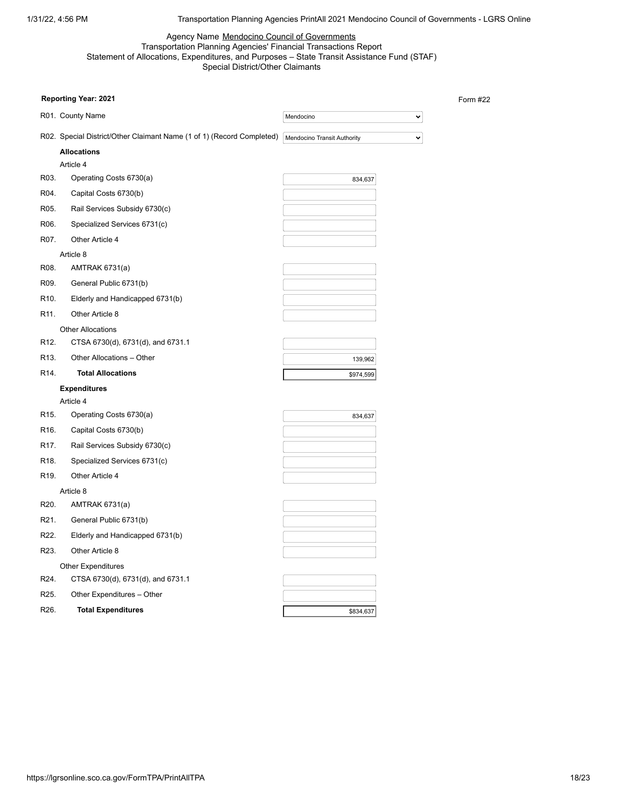Form #22

## Agency Name Mendocino Council of Governments Transportation Planning Agencies' Financial Transactions Report Statement of Allocations, Expenditures, and Purposes – State Transit Assistance Fund (STAF) Special District/Other Claimants

| <b>Reporting Year: 2021</b>                                           |                             |
|-----------------------------------------------------------------------|-----------------------------|
| R01. County Name                                                      | Mendocino<br>$\checkmark$   |
| R02. Special District/Other Claimant Name (1 of 1) (Record Completed) | Mendocino Transit Authority |
| <b>Allocations</b>                                                    |                             |
| Article 4                                                             |                             |
| R03.<br>Operating Costs 6730(a)                                       | 834,637                     |
| R04.<br>Capital Costs 6730(b)                                         |                             |
| R05.<br>Rail Services Subsidy 6730(c)                                 |                             |
| R06.<br>Specialized Services 6731(c)                                  |                             |
| R07.<br>Other Article 4                                               |                             |
| Article 8                                                             |                             |
| R08.<br>AMTRAK 6731(a)                                                |                             |
| R09.<br>General Public 6731(b)                                        |                             |
| R <sub>10</sub> .<br>Elderly and Handicapped 6731(b)                  |                             |
| R <sub>11</sub> .<br>Other Article 8                                  |                             |
| <b>Other Allocations</b>                                              |                             |
| R <sub>12</sub> .<br>CTSA 6730(d), 6731(d), and 6731.1                |                             |
| R <sub>13</sub> .<br>Other Allocations - Other                        | 139,962                     |
| R <sub>14</sub> .<br><b>Total Allocations</b>                         | \$974,599                   |
| <b>Expenditures</b>                                                   |                             |
| Article 4                                                             |                             |
| R <sub>15</sub> .<br>Operating Costs 6730(a)                          | 834,637                     |
| R <sub>16</sub> .<br>Capital Costs 6730(b)                            |                             |
| R <sub>17</sub> .<br>Rail Services Subsidy 6730(c)                    |                             |
| R <sub>18</sub> .<br>Specialized Services 6731(c)                     |                             |
| R <sub>19</sub> .<br>Other Article 4                                  |                             |
| Article 8                                                             |                             |
| R <sub>20</sub> .<br>AMTRAK 6731(a)                                   |                             |
| R <sub>21</sub> .<br>General Public 6731(b)                           |                             |
| R22.<br>Elderly and Handicapped 6731(b)                               |                             |
| R23.<br>Other Article 8                                               |                             |
| <b>Other Expenditures</b>                                             |                             |
| R24.<br>CTSA 6730(d), 6731(d), and 6731.1                             |                             |
| R <sub>25</sub> .<br>Other Expenditures - Other                       |                             |
| R26.<br><b>Total Expenditures</b>                                     | \$834,637                   |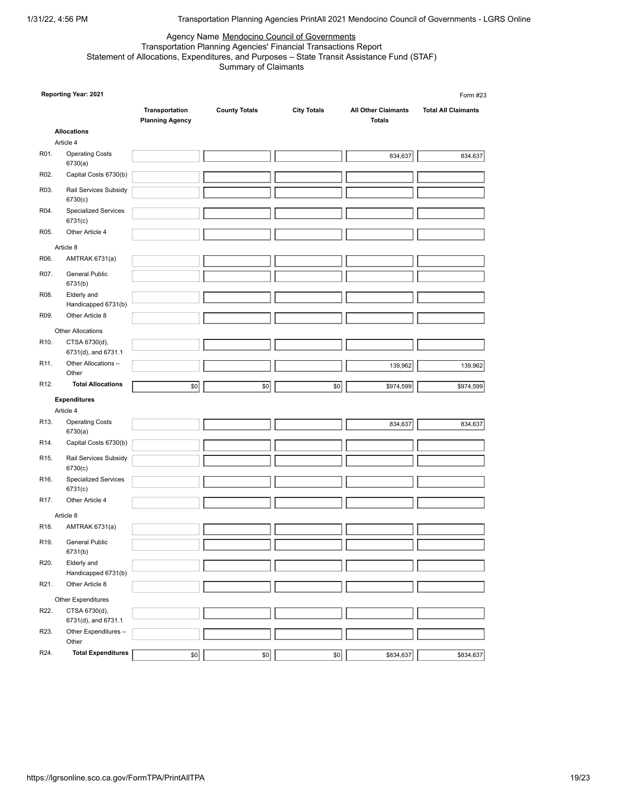# Agency Name Mendocino Council of Governments

#### Transportation Planning Agencies' Financial Transactions Report Statement of Allocations, Expenditures, and Purposes – State Transit Assistance Fund (STAF) Summary of Claimants

|                   | Reporting Year: 2021                   |                                          |                      |                    |                                             | Form #23                   |
|-------------------|----------------------------------------|------------------------------------------|----------------------|--------------------|---------------------------------------------|----------------------------|
|                   |                                        | Transportation<br><b>Planning Agency</b> | <b>County Totals</b> | <b>City Totals</b> | <b>All Other Claimants</b><br><b>Totals</b> | <b>Total All Claimants</b> |
|                   | <b>Allocations</b>                     |                                          |                      |                    |                                             |                            |
|                   | Article 4                              |                                          |                      |                    |                                             |                            |
| R01.              | <b>Operating Costs</b><br>6730(a)      |                                          |                      |                    | 834,637                                     | 834,637                    |
| R02.              | Capital Costs 6730(b)                  |                                          |                      |                    |                                             |                            |
| R03.              | Rail Services Subsidy<br>6730(c)       |                                          |                      |                    |                                             |                            |
| R04.              | <b>Specialized Services</b><br>6731(c) |                                          |                      |                    |                                             |                            |
| R05.              | Other Article 4                        |                                          |                      |                    |                                             |                            |
|                   | Article 8                              |                                          |                      |                    |                                             |                            |
| R06.              | AMTRAK 6731(a)                         |                                          |                      |                    |                                             |                            |
| R07.              | General Public                         |                                          |                      |                    |                                             |                            |
|                   | 6731(b)                                |                                          |                      |                    |                                             |                            |
| R08.              | Elderly and<br>Handicapped 6731(b)     |                                          |                      |                    |                                             |                            |
| R09.              | Other Article 8                        |                                          |                      |                    |                                             |                            |
|                   | <b>Other Allocations</b>               |                                          |                      |                    |                                             |                            |
| R <sub>10</sub> . | CTSA 6730(d),<br>6731(d), and 6731.1   |                                          |                      |                    |                                             |                            |
| R <sub>11</sub> . | Other Allocations -<br>Other           |                                          |                      |                    | 139,962                                     | 139,962                    |
| R <sub>12</sub> . | <b>Total Allocations</b>               | \$0                                      |                      |                    |                                             |                            |
|                   |                                        |                                          | \$0                  | \$0                | \$974,599                                   | \$974,599                  |
|                   | <b>Expenditures</b>                    |                                          |                      |                    |                                             |                            |
| R <sub>13</sub> . | Article 4<br><b>Operating Costs</b>    |                                          |                      |                    |                                             |                            |
|                   | 6730(a)                                |                                          |                      |                    | 834,637                                     | 834,637                    |
| R14.              | Capital Costs 6730(b)                  |                                          |                      |                    |                                             |                            |
| R <sub>15</sub> . | Rail Services Subsidy<br>6730(c)       |                                          |                      |                    |                                             |                            |
| R <sub>16</sub> . | <b>Specialized Services</b><br>6731(c) |                                          |                      |                    |                                             |                            |
| R <sub>17</sub> . | Other Article 4                        |                                          |                      |                    |                                             |                            |
|                   | Article 8                              |                                          |                      |                    |                                             |                            |
| R <sub>18</sub> . | <b>AMTRAK 6731(a)</b>                  |                                          |                      |                    |                                             |                            |
| R19.              | <b>General Public</b><br>6731(b)       |                                          |                      |                    |                                             |                            |
| R20.              | Elderly and                            |                                          |                      |                    |                                             |                            |
|                   | Handicapped 6731(b)                    |                                          |                      |                    |                                             |                            |
| R21.              | Other Article 8                        |                                          |                      |                    |                                             |                            |
|                   | Other Expenditures                     |                                          |                      |                    |                                             |                            |
| R22.              | CTSA 6730(d),                          |                                          |                      |                    |                                             |                            |
|                   | 6731(d), and 6731.1                    |                                          |                      |                    |                                             |                            |
| R23.              | Other Expenditures -<br>Other          |                                          |                      |                    |                                             |                            |
| R24.              | <b>Total Expenditures</b>              | \$0                                      | \$0                  | \$0                | \$834,637                                   | \$834,637                  |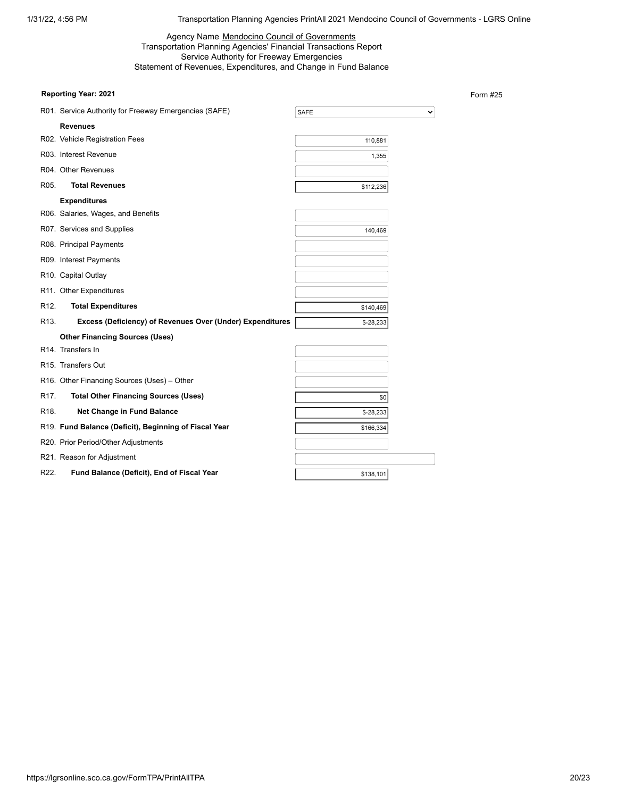## Agency Name Mendocino Council of Governments Transportation Planning Agencies' Financial Transactions Report Service Authority for Freeway Emergencies Statement of Revenues, Expenditures, and Change in Fund Balance

## **Reporting Year: 2021**

Form #25

|                   | R01. Service Authority for Freeway Emergencies (SAFE)     | <b>SAFE</b> |  |
|-------------------|-----------------------------------------------------------|-------------|--|
|                   | <b>Revenues</b>                                           |             |  |
|                   | R02. Vehicle Registration Fees                            | 110,881     |  |
|                   | R03. Interest Revenue                                     | 1,355       |  |
|                   | R04. Other Revenues                                       |             |  |
| R05.              | <b>Total Revenues</b>                                     | \$112,236   |  |
|                   | <b>Expenditures</b>                                       |             |  |
|                   | R06. Salaries, Wages, and Benefits                        |             |  |
|                   | R07. Services and Supplies                                | 140,469     |  |
|                   | R08. Principal Payments                                   |             |  |
|                   | R09. Interest Payments                                    |             |  |
|                   | R10. Capital Outlay                                       |             |  |
|                   | R11. Other Expenditures                                   |             |  |
| R <sub>12</sub> . | <b>Total Expenditures</b>                                 | \$140,469   |  |
| R <sub>13</sub> . | Excess (Deficiency) of Revenues Over (Under) Expenditures | $$-28,233$  |  |
|                   | <b>Other Financing Sources (Uses)</b>                     |             |  |
|                   | R14. Transfers In                                         |             |  |
|                   | R <sub>15</sub> . Transfers Out                           |             |  |
|                   | R16. Other Financing Sources (Uses) - Other               |             |  |
| R <sub>17</sub> . | <b>Total Other Financing Sources (Uses)</b>               | \$0         |  |
| R <sub>18</sub> . | <b>Net Change in Fund Balance</b>                         | $$-28,233$  |  |
|                   | R19. Fund Balance (Deficit), Beginning of Fiscal Year     | \$166,334   |  |
|                   | R20. Prior Period/Other Adjustments                       |             |  |
|                   | R21. Reason for Adjustment                                |             |  |
| R22.              | Fund Balance (Deficit), End of Fiscal Year                | \$138,101   |  |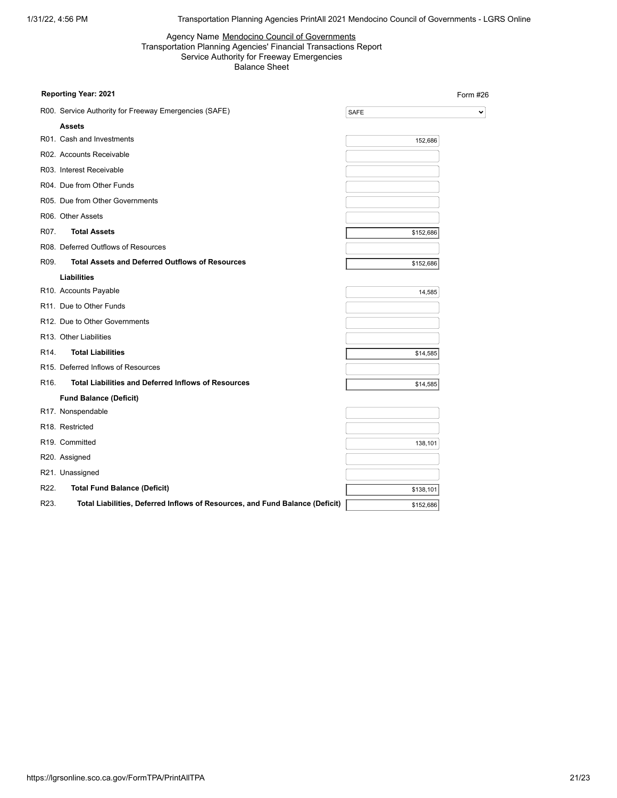#### Agency Name Mendocino Council of Governments Transportation Planning Agencies' Financial Transactions Report Service Authority for Freeway Emergencies Balance Sheet

|                   | Reporting Year: 2021                                                         |             | Form #26     |
|-------------------|------------------------------------------------------------------------------|-------------|--------------|
|                   | R00. Service Authority for Freeway Emergencies (SAFE)                        | <b>SAFE</b> | $\checkmark$ |
|                   | <b>Assets</b>                                                                |             |              |
|                   | R01. Cash and Investments                                                    | 152,686     |              |
|                   | R02. Accounts Receivable                                                     |             |              |
|                   | R03. Interest Receivable                                                     |             |              |
|                   | R04. Due from Other Funds                                                    |             |              |
|                   | R05. Due from Other Governments                                              |             |              |
|                   | R06. Other Assets                                                            |             |              |
| R07.              | <b>Total Assets</b>                                                          | \$152,686   |              |
|                   | R08. Deferred Outflows of Resources                                          |             |              |
| R09.              | <b>Total Assets and Deferred Outflows of Resources</b>                       | \$152,686   |              |
|                   | <b>Liabilities</b>                                                           |             |              |
|                   | R10. Accounts Payable                                                        | 14,585      |              |
|                   | R11. Due to Other Funds                                                      |             |              |
|                   | R12. Due to Other Governments                                                |             |              |
|                   | R13. Other Liabilities                                                       |             |              |
| R <sub>14</sub> . | <b>Total Liabilities</b>                                                     | \$14,585    |              |
|                   | R15. Deferred Inflows of Resources                                           |             |              |
| R16.              | <b>Total Liabilities and Deferred Inflows of Resources</b>                   | \$14,585    |              |
|                   | <b>Fund Balance (Deficit)</b>                                                |             |              |
|                   | R17. Nonspendable                                                            |             |              |
|                   | R <sub>18</sub> . Restricted                                                 |             |              |
|                   | R19. Committed                                                               | 138,101     |              |
|                   | R20. Assigned                                                                |             |              |
|                   | R21. Unassigned                                                              |             |              |
| R22.              | <b>Total Fund Balance (Deficit)</b>                                          | \$138,101   |              |
| R23.              | Total Liabilities, Deferred Inflows of Resources, and Fund Balance (Deficit) | \$152,686   |              |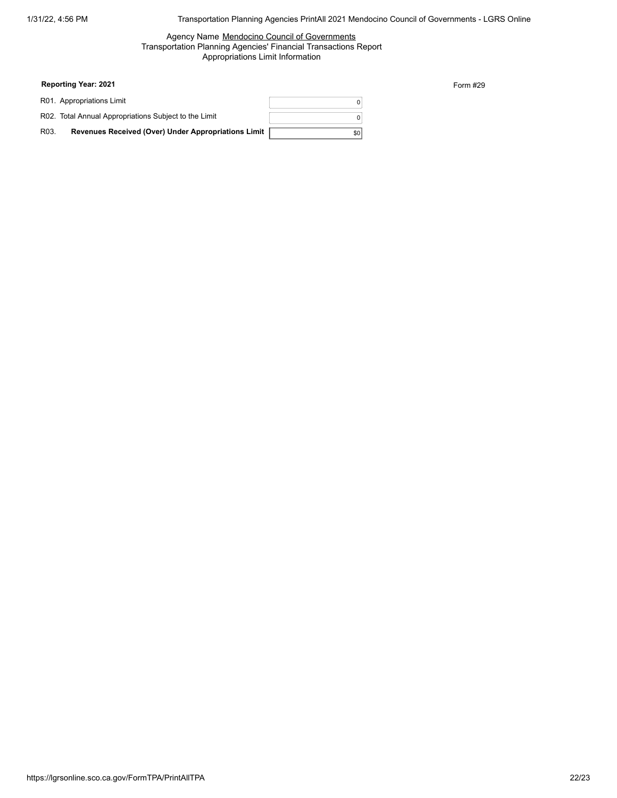#### Agency Name Mendocino Council of Governments Transportation Planning Agencies' Financial Transactions Report Appropriations Limit Information

| <b>Reporting Year: 2021</b> |  |  |
|-----------------------------|--|--|
|-----------------------------|--|--|

|                   | R01. Appropriations Limit                             |      |
|-------------------|-------------------------------------------------------|------|
|                   | R02. Total Annual Appropriations Subject to the Limit |      |
| R <sub>03</sub> . | Revenues Received (Over) Under Appropriations Limit   | \$01 |

Form #29